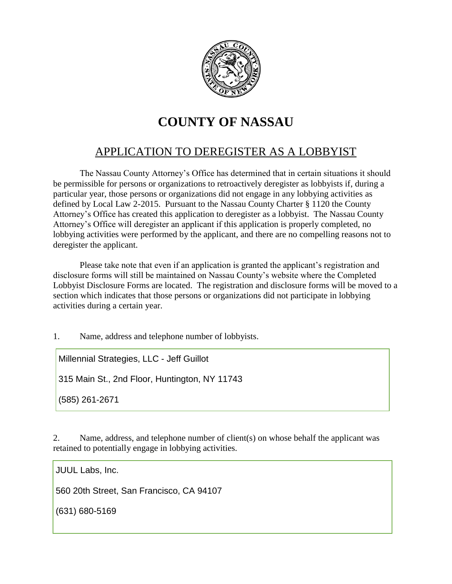

## **COUNTY OF NASSAU**

## APPLICATION TO DEREGISTER AS A LOBBYIST

The Nassau County Attorney's Office has determined that in certain situations it should be permissible for persons or organizations to retroactively deregister as lobbyists if, during a particular year, those persons or organizations did not engage in any lobbying activities as defined by Local Law 2-2015. Pursuant to the Nassau County Charter § 1120 the County Attorney's Office has created this application to deregister as a lobbyist. The Nassau County Attorney's Office will deregister an applicant if this application is properly completed, no lobbying activities were performed by the applicant, and there are no compelling reasons not to deregister the applicant.

Please take note that even if an application is granted the applicant's registration and disclosure forms will still be maintained on Nassau County's website where the Completed Lobbyist Disclosure Forms are located. The registration and disclosure forms will be moved to a section which indicates that those persons or organizations did not participate in lobbying activities during a certain year.

1. Name, address and telephone number of lobbyists.

Millennial Strategies, LLC - Jeff Guillot

315 Main St., 2nd Floor, Huntington, NY 11743

(585) 261-2671

2. Name, address, and telephone number of client(s) on whose behalf the applicant was retained to potentially engage in lobbying activities.

JUUL Labs, Inc.

560 20th Street, San Francisco, CA 94107

(631) 680-5169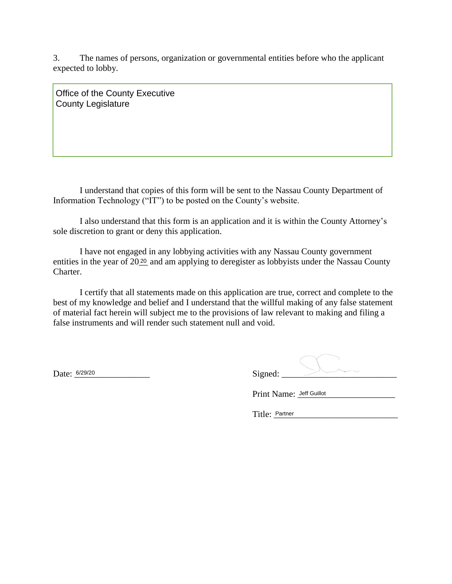3. The names of persons, organization or governmental entities before who the applicant expected to lobby.

Office of the County Executive County Legislature

I understand that copies of this form will be sent to the Nassau County Department of Information Technology ("IT") to be posted on the County's website.

I also understand that this form is an application and it is within the County Attorney's sole discretion to grant or deny this application.

I have not engaged in any lobbying activities with any Nassau County government entities in the year of  $20\frac{20}{2}$  and am applying to deregister as lobbyists under the Nassau County Charter.

I certify that all statements made on this application are true, correct and complete to the best of my knowledge and belief and I understand that the willful making of any false statement of material fact herein will subject me to the provisions of law relevant to making and filing a false instruments and will render such statement null and void.

| Date: 6/29/20 | Signed: |  |
|---------------|---------|--|

Print Name: Jeff Guillot

Title: Partner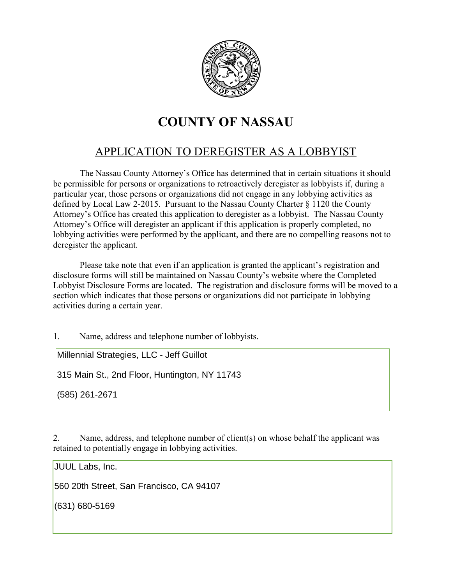

## **COUNTY OF NASSAU**

## APPLICATION TO DEREGISTER AS A LOBBYIST

The Nassau County Attorney's Office has determined that in certain situations it should be permissible for persons or organizations to retroactively deregister as lobbyists if, during a particular year, those persons or organizations did not engage in any lobbying activities as defined by Local Law 2-2015. Pursuant to the Nassau County Charter § 1120 the County Attorney's Office has created this application to deregister as a lobbyist. The Nassau County Attorney's Office will deregister an applicant if this application is properly completed, no lobbying activities were performed by the applicant, and there are no compelling reasons not to deregister the applicant.

Please take note that even if an application is granted the applicant's registration and disclosure forms will still be maintained on Nassau County's website where the Completed Lobbyist Disclosure Forms are located. The registration and disclosure forms will be moved to a section which indicates that those persons or organizations did not participate in lobbying activities during a certain year.

1. Name, address and telephone number of lobbyists.

Millennial Strategies, LLC - Jeff Guillot

315 Main St., 2nd Floor, Huntington, NY 11743

(585) 261-2671

2. Name, address, and telephone number of client(s) on whose behalf the applicant was retained to potentially engage in lobbying activities.

JUUL Labs, Inc.

560 20th Street, San Francisco, CA 94107

(631) 680-5169